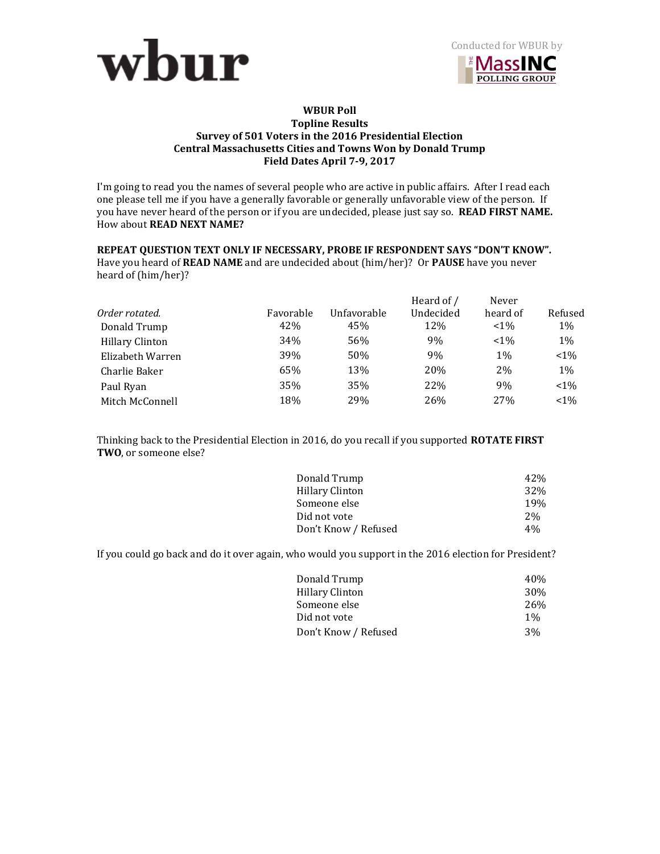



## **WBUR Poll Topline Results Survey of 501 Voters in the 2016 Presidential Election Central Massachusetts Cities and Towns Won by Donald Trump Field Dates April 7-9, 2017**

I'm going to read you the names of several people who are active in public affairs. After I read each one please tell me if you have a generally favorable or generally unfavorable view of the person. If you have never heard of the person or if you are undecided, please just say so. **READ FIRST NAME.**  How about **READ NEXT NAME?** 

# **REPEAT QUESTION TEXT ONLY IF NECESSARY, PROBE IF RESPONDENT SAYS "DON'T KNOW".**

Have you heard of **READ NAME** and are undecided about (him/her)? Or **PAUSE** have you never heard of (him/her)?

|                        |           |             | Heard of / | Never           |         |
|------------------------|-----------|-------------|------------|-----------------|---------|
| Order rotated.         | Favorable | Unfavorable | Undecided  | heard of        | Refused |
| Donald Trump           | 42%       | 45%         | 12%        | $~1\%$          | 1%      |
| <b>Hillary Clinton</b> | 34%       | 56%         | 9%         | $< 1\%$         | 1%      |
| Elizabeth Warren       | 39%       | 50%         | 9%         | 1%              | $1\%$   |
| Charlie Baker          | 65%       | 13%         | 20%        | 2%              | 1%      |
| Paul Ryan              | 35%       | 35%         | 22%        | 9%              | $1\%$   |
| Mitch McConnell        | 18%       | 29%         | 26%        | 27 <sub>%</sub> | $< 1\%$ |

Thinking back to the Presidential Election in 2016, do you recall if you supported **ROTATE FIRST TWO**, or someone else?

| 42%  |
|------|
| 32\% |
| 19%  |
| 2%   |
| 4%   |
|      |

If you could go back and do it over again, who would you support in the 2016 election for President?

| Donald Trump         | 40%   |
|----------------------|-------|
| Hillary Clinton      | 30%   |
| Someone else         | 26%   |
| Did not vote         | $1\%$ |
| Don't Know / Refused | 3%    |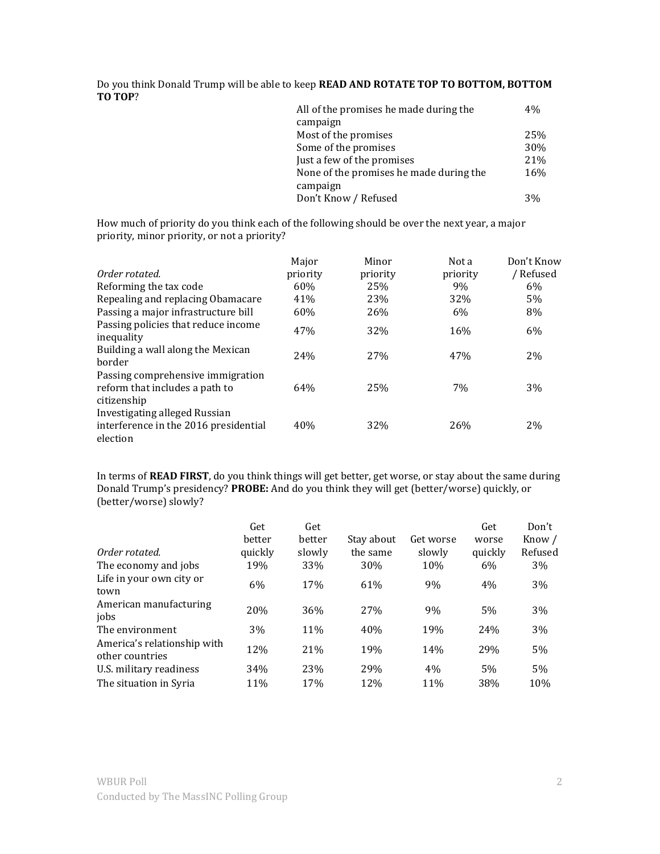Do you think Donald Trump will be able to keep **READ AND ROTATE TOP TO BOTTOM, BOTTOM TO TOP**?

| All of the promises he made during the  | 4%  |
|-----------------------------------------|-----|
| campaign                                |     |
| Most of the promises                    | 25% |
| Some of the promises                    | 30% |
| Just a few of the promises              | 21% |
| None of the promises he made during the | 16% |
| campaign                                |     |
| Don't Know / Refused                    | 3%  |

How much of priority do you think each of the following should be over the next year, a major priority, minor priority, or not a priority?

|                                                                                           | Major    | Minor    | Not a    | Don't Know |
|-------------------------------------------------------------------------------------------|----------|----------|----------|------------|
| Order rotated.                                                                            | priority | priority | priority | / Refused  |
| Reforming the tax code                                                                    | 60%      | 25%      | 9%       | 6%         |
| Repealing and replacing Obamacare                                                         | 41%      | 23%      | 32%      | 5%         |
| Passing a major infrastructure bill                                                       | 60%      | 26%      | 6%       | 8%         |
| Passing policies that reduce income<br>inequality                                         | 47%      | 32%      | 16%      | 6%         |
| Building a wall along the Mexican<br>border                                               | 24%      | 27%      | 47%      | 2%         |
| Passing comprehensive immigration<br>reform that includes a path to<br>citizenship        | 64%      | 25%      | 7%       | 3%         |
| <b>Investigating alleged Russian</b><br>interference in the 2016 presidential<br>election | 40%      | 32%      | 26%      | 2%         |

In terms of **READ FIRST**, do you think things will get better, get worse, or stay about the same during Donald Trump's presidency? **PROBE:** And do you think they will get (better/worse) quickly, or (better/worse) slowly?

|                                                | Get           | Get             |                 |           | Get     | Don't   |
|------------------------------------------------|---------------|-----------------|-----------------|-----------|---------|---------|
|                                                | <b>better</b> | better          | Stay about      | Get worse | worse   | Know /  |
| Order rotated.                                 | quickly       | slowly          | the same        | slowly    | quickly | Refused |
| The economy and jobs                           | 19%           | 33%             | 30%             | 10%       | 6%      | 3%      |
| Life in your own city or<br>town               | 6%            | 17 <sub>%</sub> | 61%             | 9%        | 4%      | 3%      |
| American manufacturing<br>jobs                 | 20%           | 36%             | 27 <sub>%</sub> | 9%        | 5%      | 3%      |
| The environment                                | 3%            | 11%             | 40%             | 19%       | 24%     | 3%      |
| America's relationship with<br>other countries | 12%           | 21%             | 19%             | 14%       | 29%     | 5%      |
| U.S. military readiness                        | 34%           | 23%             | 29%             | 4%        | 5%      | 5%      |
| The situation in Syria                         | 11%           | 17 <sub>%</sub> | 12%             | 11%       | 38%     | 10%     |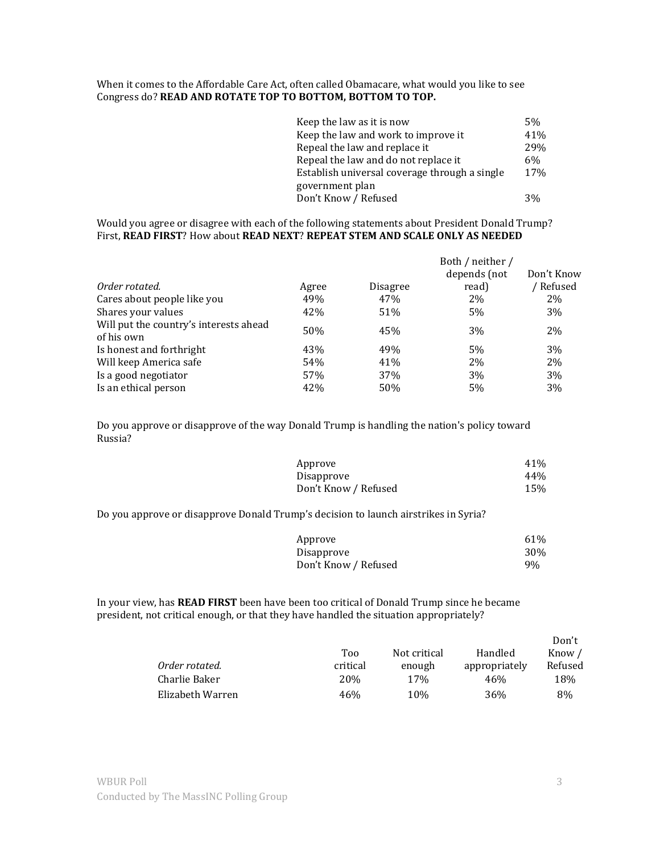# When it comes to the Affordable Care Act, often called Obamacare, what would you like to see Congress do? **READ AND ROTATE TOP TO BOTTOM, BOTTOM TO TOP.**

| Keep the law as it is now                     | 5%    |
|-----------------------------------------------|-------|
| Keep the law and work to improve it           | 41%   |
| Repeal the law and replace it                 | 29%   |
| Repeal the law and do not replace it          | $6\%$ |
| Establish universal coverage through a single | 17%   |
| government plan                               |       |
| Don't Know / Refused                          | 3%    |

#### Would you agree or disagree with each of the following statements about President Donald Trump? First, **READ FIRST**? How about **READ NEXT**? **REPEAT STEM AND SCALE ONLY AS NEEDED**

|                                                      |       |          | Both / neither /<br>depends (not | Don't Know |
|------------------------------------------------------|-------|----------|----------------------------------|------------|
| Order rotated.                                       | Agree | Disagree | read)                            | ' Refused  |
| Cares about people like you                          | 49%   | 47%      | 2%                               | 2%         |
| Shares your values                                   | 42%   | 51%      | 5%                               | 3%         |
| Will put the country's interests ahead<br>of his own | 50%   | 45%      | 3%                               | 2%         |
| Is honest and forthright                             | 43%   | 49%      | 5%                               | 3%         |
| Will keep America safe                               | 54%   | 41%      | 2%                               | 2%         |
| Is a good negotiator                                 | 57%   | 37%      | 3%                               | 3%         |
| Is an ethical person                                 | 42%   | 50%      | 5%                               | 3%         |

Do you approve or disapprove of the way Donald Trump is handling the nation's policy toward Russia?

| Approve              | 41% |
|----------------------|-----|
| Disapprove           | 44% |
| Don't Know / Refused | 15% |

Do you approve or disapprove Donald Trump's decision to launch airstrikes in Syria?

| Approve              | 61%        |
|----------------------|------------|
| Disapprove           | <b>30%</b> |
| Don't Know / Refused | 9%         |

In your view, has **READ FIRST** been have been too critical of Donald Trump since he became president, not critical enough, or that they have handled the situation appropriately?

|                  |          |                 |               | DUIL L  |
|------------------|----------|-----------------|---------------|---------|
|                  | Too      | Not critical    | Handled       | Know /  |
| Order rotated.   | critical | enough          | appropriately | Refused |
| Charlie Baker    | 20\%     | 17 <sub>%</sub> | 46%           | 18%     |
| Elizabeth Warren | 46%      | 10%             | 36%           | 8%      |

Don't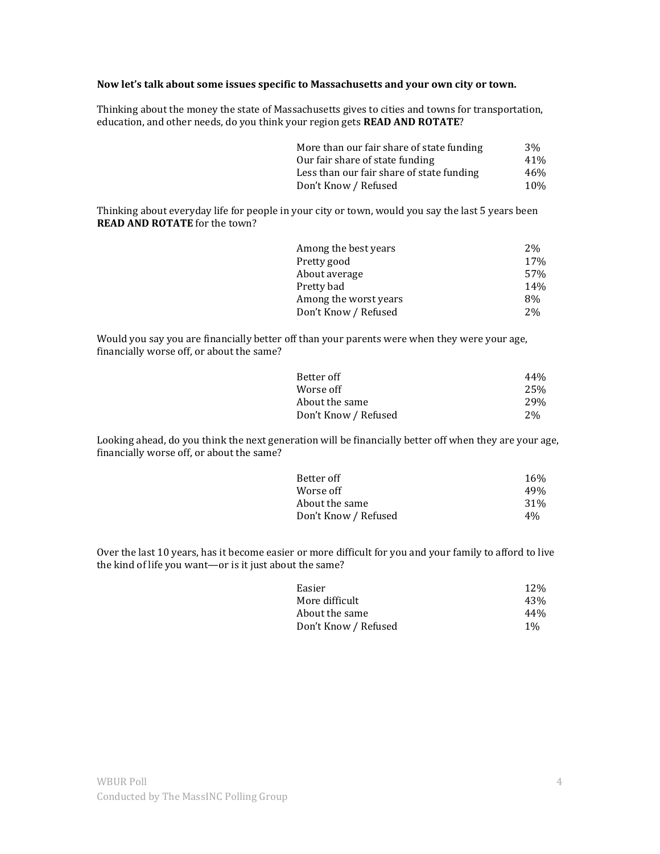# **Now let's talk about some issues specific to Massachusetts and your own city or town.**

Thinking about the money the state of Massachusetts gives to cities and towns for transportation, education, and other needs, do you think your region gets **READ AND ROTATE**?

| More than our fair share of state funding | 3%  |
|-------------------------------------------|-----|
| Our fair share of state funding           | 41% |
| Less than our fair share of state funding | 46% |
| Don't Know / Refused                      | 10% |

Thinking about everyday life for people in your city or town, would you say the last 5 years been **READ AND ROTATE** for the town?

| Among the best years  | 2%  |
|-----------------------|-----|
| Pretty good           | 17% |
| About average         | 57% |
| Pretty bad            | 14% |
| Among the worst years | 8%  |
| Don't Know / Refused  | 2%  |

Would you say you are financially better off than your parents were when they were your age, financially worse off, or about the same?

| Better off           | 44% |
|----------------------|-----|
| Worse off            | 25% |
| About the same       | 29% |
| Don't Know / Refused | 2%  |

Looking ahead, do you think the next generation will be financially better off when they are your age, financially worse off, or about the same?

| Better off           | 16 <sub>%</sub> |
|----------------------|-----------------|
| Worse off            | 49%             |
| About the same       | 31%             |
| Don't Know / Refused | 4%              |

Over the last 10 years, has it become easier or more difficult for you and your family to afford to live the kind of life you want—or is it just about the same?

| <b>12%</b> |
|------------|
| 43%        |
| 44%        |
| $1\%$      |
|            |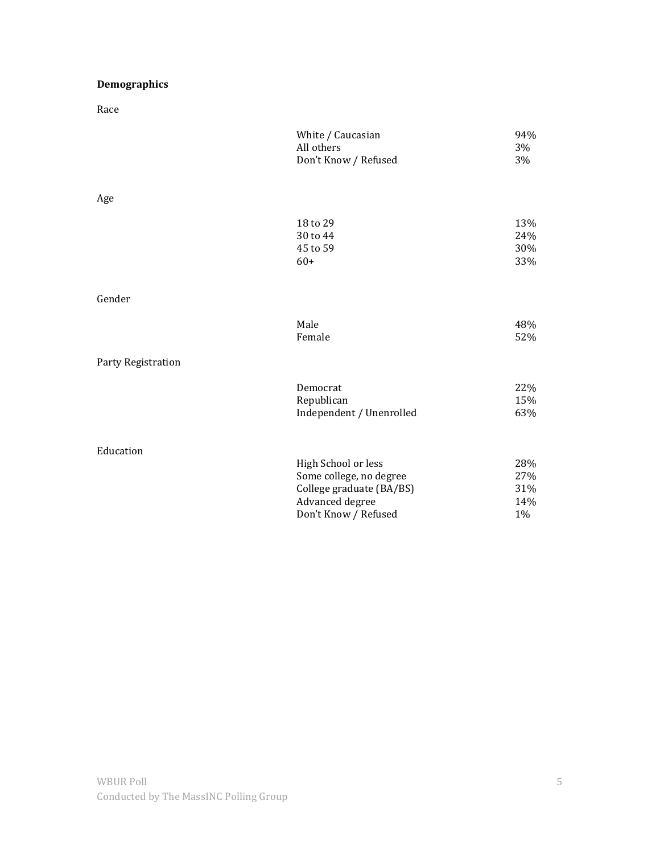# **Demographics**

Race

|                    | White / Caucasian<br>All others<br>Don't Know / Refused | 94%<br>3%<br>3%          |
|--------------------|---------------------------------------------------------|--------------------------|
| Age                |                                                         |                          |
|                    | 18 to 29<br>30 to 44<br>45 to 59<br>$60+$               | 13%<br>24%<br>30%<br>33% |
| Gender             |                                                         |                          |
|                    | Male<br>Female                                          | 48%<br>52%               |
| Party Registration |                                                         |                          |
|                    | Democrat<br>Republican<br>Independent / Unenrolled      | 22%<br>15%<br>63%        |
| Education          |                                                         |                          |
|                    | High School or less                                     | 28%                      |
|                    | Some college, no degree<br>College graduate (BA/BS)     | 27%<br>31%               |
|                    | Advanced degree                                         | 14%                      |
|                    | Don't Know / Refused                                    | 1%                       |